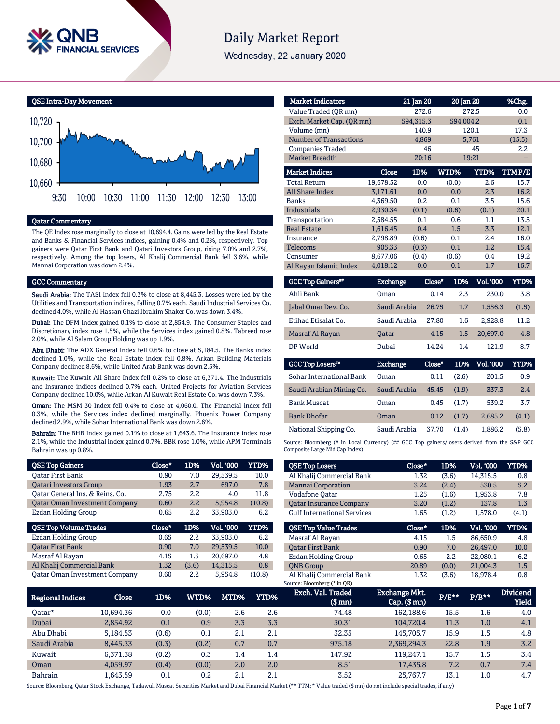

# **Daily Market Report**

Wednesday, 22 January 2020

QSE Intra-Day Movement



#### Qatar Commentary

The QE Index rose marginally to close at 10,694.4. Gains were led by the Real Estate and Banks & Financial Services indices, gaining 0.4% and 0.2%, respectively. Top gainers were Qatar First Bank and Qatari Investors Group, rising 7.0% and 2.7%, respectively. Among the top losers, Al Khalij Commercial Bank fell 3.6%, while Mannai Corporation was down 2.4%.

#### GCC Commentary

Saudi Arabia: The TASI Index fell 0.3% to close at 8,445.3. Losses were led by the Utilities and Transportation indices, falling 0.7% each. Saudi Industrial Services Co. declined 4.0%, while Al Hassan Ghazi Ibrahim Shaker Co. was down 3.4%.

Dubai: The DFM Index gained 0.1% to close at 2,854.9. The Consumer Staples and Discretionary index rose 1.5%, while the Services index gained 0.8%. Tabreed rose 2.0%, while Al Salam Group Holding was up 1.9%.

Abu Dhabi: The ADX General Index fell 0.6% to close at 5,184.5. The Banks index declined 1.0%, while the Real Estate index fell 0.8%. Arkan Building Materials Company declined 8.6%, while United Arab Bank was down 2.5%.

Kuwait: The Kuwait All Share Index fell 0.2% to close at 6,371.4. The Industrials and Insurance indices declined 0.7% each. United Projects for Aviation Services Company declined 10.0%, while Arkan Al Kuwait Real Estate Co. was down 7.3%.

Oman: The MSM 30 Index fell 0.4% to close at 4,060.0. The Financial index fell 0.3%, while the Services index declined marginally. Phoenix Power Company declined 2.9%, while Sohar International Bank was down 2.6%.

Bahrain: The BHB Index gained 0.1% to close at 1,643.6. The Insurance index rose 2.1%, while the Industrial index gained 0.7%. BBK rose 1.0%, while APM Terminals Bahrain was up 0.8%.

| <b>QSE Top Gainers</b>               | Close* | 1D%   | Vol. '000 | YTD%   |
|--------------------------------------|--------|-------|-----------|--------|
| <b>Oatar First Bank</b>              | 0.90   | 7.0   | 29,539.5  | 10.0   |
| <b>Oatari Investors Group</b>        | 1.93   | 2.7   | 697.0     | 7.8    |
| Oatar General Ins. & Reins. Co.      | 2.75   | 2.2   | 4.0       | 11.8   |
| <b>Qatar Oman Investment Company</b> | 0.60   | 2.2   | 5,954.8   | (10.8) |
| Ezdan Holding Group                  | 0.65   | 2.2   | 33,903.0  | 6.2    |
|                                      |        |       |           |        |
| <b>QSE Top Volume Trades</b>         | Close* | 1D%   | Vol. '000 | YTD%   |
| Ezdan Holding Group                  | 0.65   | 2.2   | 33,903.0  | 6.2    |
| <b>Oatar First Bank</b>              | 0.90   | 7.0   | 29,539.5  | 10.0   |
| Masraf Al Rayan                      | 4.15   | 1.5   | 20.697.0  | 4.8    |
| Al Khalij Commercial Bank            | 1.32   | (3.6) | 14,315.5  | 0.8    |

| <b>Market Indicators</b>      |           | 21 Jan 20 |           | 20 Jan 20   | %Chg.  |
|-------------------------------|-----------|-----------|-----------|-------------|--------|
| Value Traded (OR mn)          |           | 272.6     |           | 272.5       | 0.0    |
| Exch. Market Cap. (QR mn)     |           | 594,315.3 | 594,004.2 |             | 0.1    |
| Volume (mn)                   |           | 140.9     |           | 120.1       | 17.3   |
| <b>Number of Transactions</b> |           | 4,869     |           | 5,761       | (15.5) |
| <b>Companies Traded</b>       |           | 46        |           | 45          | 2.2    |
| <b>Market Breadth</b>         |           | 20:16     |           | 19:21       |        |
| <b>Market Indices</b>         | Close     | 1D%       | WTD%      | <b>YTD%</b> | TTMP/E |
| <b>Total Return</b>           | 19,678.52 | 0.0       | (0.0)     | 2.6         | 15.7   |
| <b>All Share Index</b>        | 3,171.61  | 0.0       | 0.0       | 2.3         | 16.2   |
| <b>Banks</b>                  | 4,369.50  | 0.2       | 0.1       | 3.5         | 15.6   |
| Industrials                   | 2.930.34  | (0.1)     | (0.6)     | (0.1)       | 20.1   |
| Transportation                | 2.584.55  | 0.1       | 0.6       | 1.1         | 13.5   |
| <b>Real Estate</b>            | 1,616.45  | 0.4       | 1.5       | 3.3         | 12.1   |
| Insurance                     | 2,798.89  | (0.6)     | 0.1       | 2.4         | 16.0   |
| <b>Telecoms</b>               | 905.33    | (0.3)     | 0.1       | 1.2         | 15.4   |
| Consumer                      | 8,677.06  | (0.4)     | (0.6)     | 0.4         | 19.2   |
| Al Rayan Islamic Index        | 4,018.12  | 0.0       | 0.1       | 1.7         | 16.7   |

| <b>GCC Top Gainers**</b> | <b>Exchange</b> | Close" | 1D% | <b>Vol. '000</b> | YTD%  |
|--------------------------|-----------------|--------|-----|------------------|-------|
| Ahli Bank                | Oman            | 0.14   | 2.3 | 230.0            | 3.8   |
| Jabal Omar Dev. Co.      | Saudi Arabia    | 26.75  | 1.7 | 1.556.3          | (1.5) |
| Etihad Etisalat Co.      | Saudi Arabia    | 27.80  | 1.6 | 2.928.8          | 11.2  |
| Masraf Al Rayan          | <b>Oatar</b>    | 4.15   | 1.5 | 20.697.0         | 4.8   |
| DP World                 | Dubai           | 14.24  | 1.4 | 121.9            | 8.7   |

| <b>GCC Top Losers</b>           | <b>Exchange</b> | Close* | 1D%   | Vol. '000 | YTD%  |
|---------------------------------|-----------------|--------|-------|-----------|-------|
| <b>Sohar International Bank</b> | Oman            | 0.11   | (2.6) | 201.5     | 0.9   |
| Saudi Arabian Mining Co.        | Saudi Arabia    | 45.45  | (1.9) | 337.3     | 2.4   |
| <b>Bank Muscat</b>              | Oman            | 0.45   | (1.7) | 539.2     | 3.7   |
| <b>Bank Dhofar</b>              | Oman            | 0.12   | (1.7) | 2.685.2   | (4.1) |
| National Shipping Co.           | Saudi Arabia    | 37.70  | (1.4) | 1.886.2   | (5.8) |

Source: Bloomberg (# in Local Currency) (## GCC Top gainers/losers derived from the S&P GCC Composite Large Mid Cap Index)

| <b>QSE Top Losers</b>              | Close* | 1D%   | <b>Vol. '000</b> | YTD%  |
|------------------------------------|--------|-------|------------------|-------|
| Al Khalij Commercial Bank          | 1.32   | (3.6) | 14.315.5         | 0.8   |
| <b>Mannai Corporation</b>          | 3.24   | (2.4) | 530.5            | 5.2   |
| Vodafone Qatar                     | 1.25   | (1.6) | 1,953.8          | 7.8   |
| <b>Oatar Insurance Company</b>     | 3.20   | (1.2) | 137.8            | 1.3   |
| <b>Gulf International Services</b> | 1.65   | (1.2) | 1.578.0          | (4.1) |
|                                    |        |       |                  |       |
| <b>OSE Top Value Trades</b>        | Close* | 1D%   | Val. '000        | YTD%  |
| Masraf Al Rayan                    | 4.15   | 1.5   | 86.650.9         | 4.8   |
| <b>Oatar First Bank</b>            | 0.90   | 7.0   | 26.497.0         | 10.0  |
| Ezdan Holding Group                | 0.65   | 2.2   | 22.080.1         | 6.2   |
| <b>ONB</b> Group                   | 20.89  | (0.0) | 21.004.3         | 1.5   |

| <b>Regional Indices</b> | Close     | 1D%   | WTD%  | MTD% | YTD% | Exch. Val. Traded<br>$$$ mn $)$ | Exchange Mkt.<br>$Cap.$ ( $$rm)$ ) | P/E** | $P/B***$ | <b>Dividend</b><br><b>Yield</b> |
|-------------------------|-----------|-------|-------|------|------|---------------------------------|------------------------------------|-------|----------|---------------------------------|
| Oatar*                  | 10.694.36 | 0.0   | (0.0) | 2.6  | 2.6  | 74.48                           | 162.188.6                          | 15.5  | 1.6      | 4.0                             |
| Dubai                   | 2.854.92  | 0.1   | 0.9   | 3.3  | 3.3  | 30.31                           | 104.720.4                          | 11.3  | 1.0      | 4.1                             |
| Abu Dhabi               | 5.184.53  | (0.6) | 0.1   | 2.1  | 2.1  | 32.35                           | 145.705.7                          | 15.9  | 1.5      | 4.8                             |
| Saudi Arabia            | 8,445.33  | (0.3) | (0.2) | 0.7  | 0.7  | 975.18                          | 2,369,294.3                        | 22.8  | 1.9      | 3.2                             |
| Kuwait                  | 6.371.38  | (0.2) | 0.3   | 1.4  | 1.4  | 147.92                          | 119.247.1                          | 15.7  | 1.5      | 3.4                             |
| Oman                    | 4.059.97  | (0.4) | (0.0) | 2.0  | 2.0  | 8.51                            | 17,435.8                           | 7.2   | 0.7      | 7.4                             |
| <b>Bahrain</b>          | 1.643.59  | 0.1   | 0.2   | 2.1  | 2.1  | 3.52                            | 25.767.7                           | 13.1  | 1.0      | 4.7                             |

Source: Bloomberg, Qatar Stock Exchange, Tadawul, Muscat Securities Market and Dubai Financial Market (\*\* TTM; \* Value traded (\$ mn) do not include special trades, if any)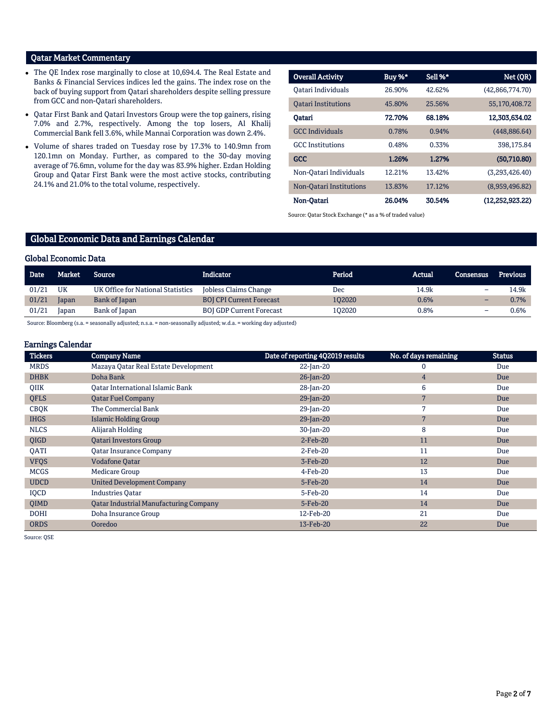# Qatar Market Commentary

- The QE Index rose marginally to close at 10,694.4. The Real Estate and Banks & Financial Services indices led the gains. The index rose on the back of buying support from Qatari shareholders despite selling pressure from GCC and non-Qatari shareholders.
- Qatar First Bank and Qatari Investors Group were the top gainers, rising 7.0% and 2.7%, respectively. Among the top losers, Al Khalij Commercial Bank fell 3.6%, while Mannai Corporation was down 2.4%.
- Volume of shares traded on Tuesday rose by 17.3% to 140.9mn from 120.1mn on Monday. Further, as compared to the 30-day moving average of 76.6mn, volume for the day was 83.9% higher. Ezdan Holding Group and Qatar First Bank were the most active stocks, contributing 24.1% and 21.0% to the total volume, respectively.

| <b>Overall Activity</b>    | Buy %* | Sell %* | Net (QR)           |
|----------------------------|--------|---------|--------------------|
| Oatari Individuals         | 26.90% | 42.62%  | (42,866,774.70)    |
| <b>Oatari Institutions</b> | 45.80% | 25.56%  | 55,170,408.72      |
| Oatari                     | 72.70% | 68.18%  | 12,303,634.02      |
| <b>GCC</b> Individuals     | 0.78%  | 0.94%   | (448, 886.64)      |
| <b>GCC</b> Institutions    | 0.48%  | 0.33%   | 398.175.84         |
| <b>GCC</b>                 | 1.26%  | 1.27%   | (50,710.80)        |
| Non-Oatari Individuals     | 12.21% | 13.42%  | (3.293.426.40)     |
| Non-Oatari Institutions    | 13.83% | 17.12%  | (8,959,496.82)     |
| Non-Oatari                 | 26.04% | 30.54%  | (12, 252, 923, 22) |

Source: Qatar Stock Exchange (\* as a % of traded value)

# Global Economic Data and Earnings Calendar

#### Global Economic Data

| Date  | Market | Source                            | <b>Indicator</b>                | Period | Actual | Consensus | Previous |
|-------|--------|-----------------------------------|---------------------------------|--------|--------|-----------|----------|
| 01/21 | UK     | UK Office for National Statistics | Jobless Claims Change           | Dec    | 14.9k  | -         | 14.9k    |
| 01/21 | Japan  | Bank of Japan                     | <b>BOJ CPI Current Forecast</b> | 102020 | 0.6%   |           | 0.7%     |
| 01/21 | Japan  | Bank of Japan                     | <b>BOJ GDP Current Forecast</b> | 102020 | 0.8%   |           | 0.6%     |

Source: Bloomberg (s.a. = seasonally adjusted; n.s.a. = non-seasonally adjusted; w.d.a. = working day adjusted)

#### Earnings Calendar

| <b>Tickers</b> | <b>Company Name</b>                           | Date of reporting 4Q2019 results | No. of days remaining | <b>Status</b> |
|----------------|-----------------------------------------------|----------------------------------|-----------------------|---------------|
| <b>MRDS</b>    | Mazaya Qatar Real Estate Development          | 22-Jan-20                        | 0                     | Due           |
| <b>DHBK</b>    | Doha Bank                                     | 26-Jan-20                        | $\overline{4}$        | Due           |
| QIIK           | <b>Oatar International Islamic Bank</b>       | 28-Jan-20                        | 6                     | Due           |
| <b>QFLS</b>    | <b>Qatar Fuel Company</b>                     | 29-Jan-20                        | 7                     | Due           |
| <b>CBQK</b>    | The Commercial Bank                           | 29-Jan-20                        | 7                     | Due           |
| <b>IHGS</b>    | <b>Islamic Holding Group</b>                  | 29-Jan-20                        | 7                     | Due           |
| <b>NLCS</b>    | Alijarah Holding                              | 30-Jan-20                        | 8                     | Due           |
| QIGD           | <b>Oatari Investors Group</b>                 | $2-Feb-20$                       | 11                    | Due           |
| QATI           | <b>Qatar Insurance Company</b>                | 2-Feb-20                         | 11                    | Due           |
| <b>VFQS</b>    | <b>Vodafone Qatar</b>                         | 3-Feb-20                         | 12                    | Due           |
| <b>MCGS</b>    | Medicare Group                                | 4-Feb-20                         | 13                    | Due           |
| <b>UDCD</b>    | <b>United Development Company</b>             | 5-Feb-20                         | 14                    | Due           |
| IQCD           | <b>Industries Qatar</b>                       | 5-Feb-20                         | 14                    | Due           |
| <b>OIMD</b>    | <b>Qatar Industrial Manufacturing Company</b> | 5-Feb-20                         | 14                    | Due           |
| <b>DOHI</b>    | Doha Insurance Group                          | 12-Feb-20                        | 21                    | Due           |
| <b>ORDS</b>    | Ooredoo                                       | 13-Feb-20                        | 22                    | Due           |

Source: QSE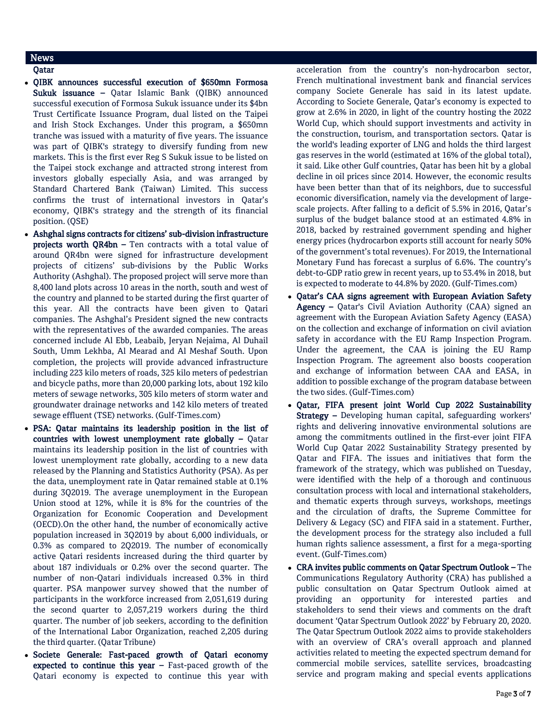# News

# Qatar

- QIBK announces successful execution of \$650mn Formosa Sukuk issuance – Qatar Islamic Bank (QIBK) announced successful execution of Formosa Sukuk issuance under its \$4bn Trust Certificate Issuance Program, dual listed on the Taipei and Irish Stock Exchanges. Under this program, a \$650mn tranche was issued with a maturity of five years. The issuance was part of QIBK's strategy to diversify funding from new markets. This is the first ever Reg S Sukuk issue to be listed on the Taipei stock exchange and attracted strong interest from investors globally especially Asia, and was arranged by Standard Chartered Bank (Taiwan) Limited. This success confirms the trust of international investors in Qatar's economy, QIBK's strategy and the strength of its financial position. (QSE)
- Ashghal signs contracts for citizens' sub-division infrastructure projects worth QR4bn – Ten contracts with a total value of around QR4bn were signed for infrastructure development projects of citizens' sub-divisions by the Public Works Authority (Ashghal). The proposed project will serve more than 8,400 land plots across 10 areas in the north, south and west of the country and planned to be started during the first quarter of this year. All the contracts have been given to Qatari companies. The Ashghal's President signed the new contracts with the representatives of the awarded companies. The areas concerned include Al Ebb, Leabaib, Jeryan Nejaima, Al Duhail South, Umm Lekhba, Al Mearad and Al Meshaf South. Upon completion, the projects will provide advanced infrastructure including 223 kilo meters of roads, 325 kilo meters of pedestrian and bicycle paths, more than 20,000 parking lots, about 192 kilo meters of sewage networks, 305 kilo meters of storm water and groundwater drainage networks and 142 kilo meters of treated sewage effluent (TSE) networks. (Gulf-Times.com)
- PSA: Qatar maintains its leadership position in the list of countries with lowest unemployment rate globally – Qatar maintains its leadership position in the list of countries with lowest unemployment rate globally, according to a new data released by the Planning and Statistics Authority (PSA). As per the data, unemployment rate in Qatar remained stable at 0.1% during 3Q2019. The average unemployment in the European Union stood at 12%, while it is 8% for the countries of the Organization for Economic Cooperation and Development (OECD).On the other hand, the number of economically active population increased in 3Q2019 by about 6,000 individuals, or 0.3% as compared to 2Q2019. The number of economically active Qatari residents increased during the third quarter by about 187 individuals or 0.2% over the second quarter. The number of non-Qatari individuals increased 0.3% in third quarter. PSA manpower survey showed that the number of participants in the workforce increased from 2,051,619 during the second quarter to 2,057,219 workers during the third quarter. The number of job seekers, according to the definition of the International Labor Organization, reached 2,205 during the third quarter. (Qatar Tribune)
- Societe Generale: Fast-paced growth of Qatari economy expected to continue this year – Fast-paced growth of the Qatari economy is expected to continue this year with

acceleration from the country's non-hydrocarbon sector, French multinational investment bank and financial services company Societe Generale has said in its latest update. According to Societe Generale, Qatar's economy is expected to grow at 2.6% in 2020, in light of the country hosting the 2022 World Cup, which should support investments and activity in the construction, tourism, and transportation sectors. Qatar is the world's leading exporter of LNG and holds the third largest gas reserves in the world (estimated at 16% of the global total), it said. Like other Gulf countries, Qatar has been hit by a global decline in oil prices since 2014. However, the economic results have been better than that of its neighbors, due to successful economic diversification, namely via the development of largescale projects. After falling to a deficit of 5.5% in 2016, Qatar's surplus of the budget balance stood at an estimated 4.8% in 2018, backed by restrained government spending and higher energy prices (hydrocarbon exports still account for nearly 50% of the government's total revenues). For 2019, the International Monetary Fund has forecast a surplus of 6.6%. The country's debt-to-GDP ratio grew in recent years, up to 53.4% in 2018, but is expected to moderate to 44.8% by 2020. (Gulf-Times.com)

- Qatar's CAA signs agreement with European Aviation Safety Agency - Qatar's Civil Aviation Authority (CAA) signed an agreement with the European Aviation Safety Agency (EASA) on the collection and exchange of information on civil aviation safety in accordance with the EU Ramp Inspection Program. Under the agreement, the CAA is joining the EU Ramp Inspection Program. The agreement also boosts cooperation and exchange of information between CAA and EASA, in addition to possible exchange of the program database between the two sides. (Gulf-Times.com)
- Qatar, FIFA present joint World Cup 2022 Sustainability Strategy – Developing human capital, safeguarding workers' rights and delivering innovative environmental solutions are among the commitments outlined in the first-ever joint FIFA World Cup Qatar 2022 Sustainability Strategy presented by Qatar and FIFA. The issues and initiatives that form the framework of the strategy, which was published on Tuesday, were identified with the help of a thorough and continuous consultation process with local and international stakeholders, and thematic experts through surveys, workshops, meetings and the circulation of drafts, the Supreme Committee for Delivery & Legacy (SC) and FIFA said in a statement. Further, the development process for the strategy also included a full human rights salience assessment, a first for a mega-sporting event. (Gulf-Times.com)
- CRA invites public comments on Qatar Spectrum Outlook The Communications Regulatory Authority (CRA) has published a public consultation on Qatar Spectrum Outlook aimed at providing an opportunity for interested parties and stakeholders to send their views and comments on the draft document 'Qatar Spectrum Outlook 2022' by February 20, 2020. The Qatar Spectrum Outlook 2022 aims to provide stakeholders with an overview of CRA's overall approach and planned activities related to meeting the expected spectrum demand for commercial mobile services, satellite services, broadcasting service and program making and special events applications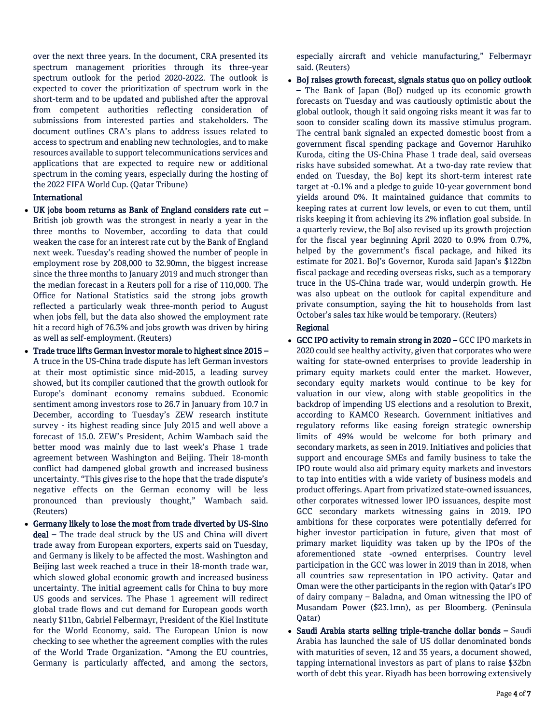over the next three years. In the document, CRA presented its spectrum management priorities through its three-year spectrum outlook for the period 2020-2022. The outlook is expected to cover the prioritization of spectrum work in the short-term and to be updated and published after the approval from competent authorities reflecting consideration of submissions from interested parties and stakeholders. The document outlines CRA's plans to address issues related to access to spectrum and enabling new technologies, and to make resources available to support telecommunications services and applications that are expected to require new or additional spectrum in the coming years, especially during the hosting of the 2022 FIFA World Cup. (Qatar Tribune)

#### International

- UK jobs boom returns as Bank of England considers rate cut British job growth was the strongest in nearly a year in the three months to November, according to data that could weaken the case for an interest rate cut by the Bank of England next week. Tuesday's reading showed the number of people in employment rose by 208,000 to 32.90mn, the biggest increase since the three months to January 2019 and much stronger than the median forecast in a Reuters poll for a rise of 110,000. The Office for National Statistics said the strong jobs growth reflected a particularly weak three-month period to August when jobs fell, but the data also showed the employment rate hit a record high of 76.3% and jobs growth was driven by hiring as well as self-employment. (Reuters)
- Trade truce lifts German investor morale to highest since 2015 A truce in the US-China trade dispute has left German investors at their most optimistic since mid-2015, a leading survey showed, but its compiler cautioned that the growth outlook for Europe's dominant economy remains subdued. Economic sentiment among investors rose to 26.7 in January from 10.7 in December, according to Tuesday's ZEW research institute survey - its highest reading since July 2015 and well above a forecast of 15.0. ZEW's President, Achim Wambach said the better mood was mainly due to last week's Phase 1 trade agreement between Washington and Beijing. Their 18-month conflict had dampened global growth and increased business uncertainty. "This gives rise to the hope that the trade dispute's negative effects on the German economy will be less pronounced than previously thought," Wambach said. (Reuters)
- Germany likely to lose the most from trade diverted by US-Sino deal – The trade deal struck by the US and China will divert trade away from European exporters, experts said on Tuesday, and Germany is likely to be affected the most. Washington and Beijing last week reached a truce in their 18-month trade war, which slowed global economic growth and increased business uncertainty. The initial agreement calls for China to buy more US goods and services. The Phase 1 agreement will redirect global trade flows and cut demand for European goods worth nearly \$11bn, Gabriel Felbermayr, President of the Kiel Institute for the World Economy, said. The European Union is now checking to see whether the agreement complies with the rules of the World Trade Organization. "Among the EU countries, Germany is particularly affected, and among the sectors,

especially aircraft and vehicle manufacturing," Felbermayr said. (Reuters)

 BoJ raises growth forecast, signals status quo on policy outlook – The Bank of Japan (BoJ) nudged up its economic growth forecasts on Tuesday and was cautiously optimistic about the global outlook, though it said ongoing risks meant it was far to soon to consider scaling down its massive stimulus program. The central bank signaled an expected domestic boost from a government fiscal spending package and Governor Haruhiko Kuroda, citing the US-China Phase 1 trade deal, said overseas risks have subsided somewhat. At a two-day rate review that ended on Tuesday, the BoJ kept its short-term interest rate target at -0.1% and a pledge to guide 10-year government bond yields around 0%. It maintained guidance that commits to keeping rates at current low levels, or even to cut them, until risks keeping it from achieving its 2% inflation goal subside. In a quarterly review, the BoJ also revised up its growth projection for the fiscal year beginning April 2020 to 0.9% from 0.7%, helped by the government's fiscal package, and hiked its estimate for 2021. BoJ's Governor, Kuroda said Japan's \$122bn fiscal package and receding overseas risks, such as a temporary truce in the US-China trade war, would underpin growth. He was also upbeat on the outlook for capital expenditure and private consumption, saying the hit to households from last October's sales tax hike would be temporary. (Reuters)

### Regional

- GCC IPO activity to remain strong in 2020 GCC IPO markets in 2020 could see healthy activity, given that corporates who were waiting for state-owned enterprises to provide leadership in primary equity markets could enter the market. However, secondary equity markets would continue to be key for valuation in our view, along with stable geopolitics in the backdrop of impending US elections and a resolution to Brexit, according to KAMCO Research. Government initiatives and regulatory reforms like easing foreign strategic ownership limits of 49% would be welcome for both primary and secondary markets, as seen in 2019. Initiatives and policies that support and encourage SMEs and family business to take the IPO route would also aid primary equity markets and investors to tap into entities with a wide variety of business models and product offerings. Apart from privatized state-owned issuances, other corporates witnessed lower IPO issuances, despite most GCC secondary markets witnessing gains in 2019. IPO ambitions for these corporates were potentially deferred for higher investor participation in future, given that most of primary market liquidity was taken up by the IPOs of the aforementioned state -owned enterprises. Country level participation in the GCC was lower in 2019 than in 2018, when all countries saw representation in IPO activity. Qatar and Oman were the other participants in the region with Qatar's IPO of dairy company – Baladna, and Oman witnessing the IPO of Musandam Power (\$23.1mn), as per Bloomberg. (Peninsula Qatar)
- Saudi Arabia starts selling triple-tranche dollar bonds Saudi Arabia has launched the sale of US dollar denominated bonds with maturities of seven, 12 and 35 years, a document showed, tapping international investors as part of plans to raise \$32bn worth of debt this year. Riyadh has been borrowing extensively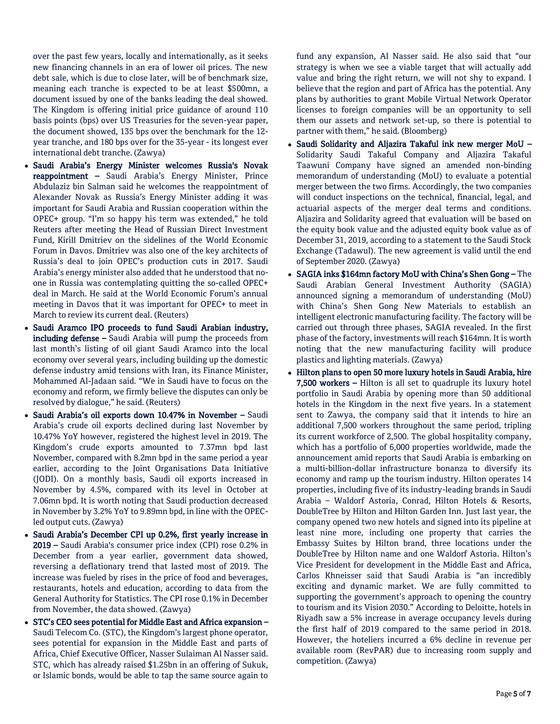over the past few years, locally and internationally, as it seeks new financing channels in an era of lower oil prices. The new debt sale, which is due to close later, will be of benchmark size, meaning each tranche is expected to be at least \$500mn, a document issued by one of the banks leading the deal showed. The Kingdom is offering initial price guidance of around 110 basis points (bps) over US Treasuries for the seven-year paper, the document showed, 135 bps over the benchmark for the 12 year tranche, and 180 bps over for the 35-year - its longest ever international debt tranche. (Zawya)

- Saudi Arabia's Energy Minister welcomes Russia's Novak reappointment – Saudi Arabia's Energy Minister, Prince Abdulaziz bin Salman said he welcomes the reappointment of Alexander Novak as Russia's Energy Minister adding it was important for Saudi Arabia and Russian cooperation within the OPEC+ group. "I'm so happy his term was extended," he told Reuters after meeting the Head of Russian Direct Investment Fund, Kirill Dmitriev on the sidelines of the World Economic Forum in Davos. Dmitriev was also one of the key architects of Russia's deal to join OPEC's production cuts in 2017. Saudi Arabia's energy minister also added that he understood that noone in Russia was contemplating quitting the so-called OPEC+ deal in March. He said at the World Economic Forum's annual meeting in Davos that it was important for OPEC+ to meet in March to review its current deal. (Reuters)
- Saudi Aramco IPO proceeds to fund Saudi Arabian industry, including defense – Saudi Arabia will pump the proceeds from last month's listing of oil giant Saudi Aramco into the local economy over several years, including building up the domestic defense industry amid tensions with Iran, its Finance Minister, Mohammed Al-Jadaan said. "We in Saudi have to focus on the economy and reform, we firmly believe the disputes can only be resolved by dialogue," he said. (Reuters)
- Saudi Arabia's oil exports down 10.47% in November Saudi Arabia's crude oil exports declined during last November by 10.47% YoY however, registered the highest level in 2019. The Kingdom's crude exports amounted to 7.37mn bpd last November, compared with 8.2mn bpd in the same period a year earlier, according to the Joint Organisations Data Initiative (JODI). On a monthly basis, Saudi oil exports increased in November by 4.5%, compared with its level in October at 7.06mn bpd. It is worth noting that Saudi production decreased in November by 3.2% YoY to 9.89mn bpd, in line with the OPECled output cuts. (Zawya)
- Saudi Arabia's December CPI up 0.2%, first yearly increase in 2019 – Saudi Arabia's consumer price index (CPI) rose 0.2% in December from a year earlier, government data showed, reversing a deflationary trend that lasted most of 2019. The increase was fueled by rises in the price of food and beverages, restaurants, hotels and education, according to data from the General Authority for Statistics. The CPI rose 0.1% in December from November, the data showed. (Zawya)
- STC's CEO sees potential for Middle East and Africa expansion Saudi Telecom Co. (STC), the Kingdom's largest phone operator, sees potential for expansion in the Middle East and parts of Africa, Chief Executive Officer, Nasser Sulaiman Al Nasser said. STC, which has already raised \$1.25bn in an offering of Sukuk, or Islamic bonds, would be able to tap the same source again to

fund any expansion, Al Nasser said. He also said that "our strategy is when we see a viable target that will actually add value and bring the right return, we will not shy to expand. I believe that the region and part of Africa has the potential. Any plans by authorities to grant Mobile Virtual Network Operator licenses to foreign companies will be an opportunity to sell them our assets and network set-up, so there is potential to partner with them," he said. (Bloomberg)

- Saudi Solidarity and Aljazira Takaful ink new merger MoU Solidarity Saudi Takaful Company and Aljazira Takaful Taawuni Company have signed an amended non-binding memorandum of understanding (MoU) to evaluate a potential merger between the two firms. Accordingly, the two companies will conduct inspections on the technical, financial, legal, and actuarial aspects of the merger deal terms and conditions. Aljazira and Solidarity agreed that evaluation will be based on the equity book value and the adjusted equity book value as of December 31, 2019, according to a statement to the Saudi Stock Exchange (Tadawul). The new agreement is valid until the end of September 2020. (Zawya)
- SAGIA inks \$164mn factory MoU with China's Shen Gong The Saudi Arabian General Investment Authority (SAGIA) announced signing a memorandum of understanding (MoU) with China's Shen Gong New Materials to establish an intelligent electronic manufacturing facility. The factory will be carried out through three phases, SAGIA revealed. In the first phase of the factory, investments will reach \$164mn. It is worth noting that the new manufacturing facility will produce plastics and lighting materials. (Zawya)
- Hilton plans to open 50 more luxury hotels in Saudi Arabia, hire 7,500 workers – Hilton is all set to quadruple its luxury hotel portfolio in Saudi Arabia by opening more than 50 additional hotels in the Kingdom in the next five years. In a statement sent to Zawya, the company said that it intends to hire an additional 7,500 workers throughout the same period, tripling its current workforce of 2,500. The global hospitality company, which has a portfolio of 6,000 properties worldwide, made the announcement amid reports that Saudi Arabia is embarking on a multi-billion-dollar infrastructure bonanza to diversify its economy and ramp up the tourism industry. Hilton operates 14 properties, including five of its industry-leading brands in Saudi Arabia – Waldorf Astoria, Conrad, Hilton Hotels & Resorts, DoubleTree by Hilton and Hilton Garden Inn. Just last year, the company opened two new hotels and signed into its pipeline at least nine more, including one property that carries the Embassy Suites by Hilton brand, three locations under the DoubleTree by Hilton name and one Waldorf Astoria. Hilton's Vice President for development in the Middle East and Africa, Carlos Khneisser said that Saudi Arabia is "an incredibly exciting and dynamic market. We are fully committed to supporting the government's approach to opening the country to tourism and its Vision 2030." According to Deloitte, hotels in Riyadh saw a 5% increase in average occupancy levels during the first half of 2019 compared to the same period in 2018. However, the hoteliers incurred a 6% decline in revenue per available room (RevPAR) due to increasing room supply and competition. (Zawya)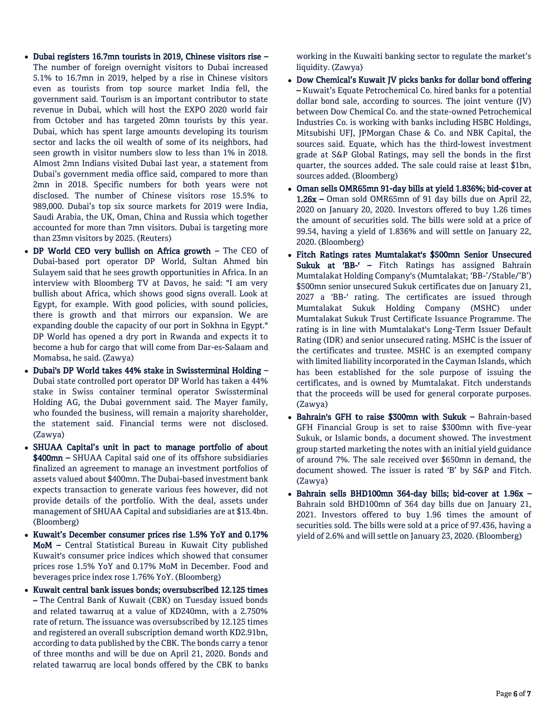- Dubai registers 16.7mn tourists in 2019, Chinese visitors rise The number of foreign overnight visitors to Dubai increased 5.1% to 16.7mn in 2019, helped by a rise in Chinese visitors even as tourists from top source market India fell, the government said. Tourism is an important contributor to state revenue in Dubai, which will host the EXPO 2020 world fair from October and has targeted 20mn tourists by this year. Dubai, which has spent large amounts developing its tourism sector and lacks the oil wealth of some of its neighbors, had seen growth in visitor numbers slow to less than 1% in 2018. Almost 2mn Indians visited Dubai last year, a statement from Dubai's government media office said, compared to more than 2mn in 2018. Specific numbers for both years were not disclosed. The number of Chinese visitors rose 15.5% to 989,000. Dubai's top six source markets for 2019 were India, Saudi Arabia, the UK, Oman, China and Russia which together accounted for more than 7mn visitors. Dubai is targeting more than 23mn visitors by 2025. (Reuters)
- DP World CEO very bullish on Africa growth The CEO of Dubai-based port operator DP World, Sultan Ahmed bin Sulayem said that he sees growth opportunities in Africa. In an interview with Bloomberg TV at Davos, he said: "I am very bullish about Africa, which shows good signs overall. Look at Egypt, for example. With good policies, with sound policies, there is growth and that mirrors our expansion. We are expanding double the capacity of our port in Sokhna in Egypt." DP World has opened a dry port in Rwanda and expects it to become a hub for cargo that will come from Dar-es-Salaam and Momabsa, he said. (Zawya)
- Dubai's DP World takes 44% stake in Swissterminal Holding Dubai state controlled port operator DP World has taken a 44% stake in Swiss container terminal operator Swissterminal Holding AG, the Dubai government said. The Mayer family, who founded the business, will remain a majority shareholder, the statement said. Financial terms were not disclosed. (Zawya)
- SHUAA Capital's unit in pact to manage portfolio of about \$400mn – SHUAA Capital said one of its offshore subsidiaries finalized an agreement to manage an investment portfolios of assets valued about \$400mn. The Dubai-based investment bank expects transaction to generate various fees however, did not provide details of the portfolio. With the deal, assets under management of SHUAA Capital and subsidiaries are at \$13.4bn. (Bloomberg)
- Kuwait's December consumer prices rise 1.5% YoY and 0.17% MoM – Central Statistical Bureau in Kuwait City published Kuwait's consumer price indices which showed that consumer prices rose 1.5% YoY and 0.17% MoM in December. Food and beverages price index rose 1.76% YoY. (Bloomberg)
- Kuwait central bank issues bonds; oversubscribed 12.125 times – The Central Bank of Kuwait (CBK) on Tuesday issued bonds and related tawarruq at a value of KD240mn, with a 2.750% rate of return. The issuance was oversubscribed by 12.125 times and registered an overall subscription demand worth KD2.91bn, according to data published by the CBK. The bonds carry a tenor of three months and will be due on April 21, 2020. Bonds and related tawarruq are local bonds offered by the CBK to banks

working in the Kuwaiti banking sector to regulate the market's liquidity. (Zawya)

- Dow Chemical's Kuwait JV picks banks for dollar bond offering – Kuwait's Equate Petrochemical Co. hired banks for a potential dollar bond sale, according to sources. The joint venture (JV) between Dow Chemical Co. and the state-owned Petrochemical Industries Co. is working with banks including HSBC Holdings, Mitsubishi UFJ, JPMorgan Chase & Co. and NBK Capital, the sources said. Equate, which has the third-lowest investment grade at S&P Global Ratings, may sell the bonds in the first quarter, the sources added. The sale could raise at least \$1bn, sources added. (Bloomberg)
- Oman sells OMR65mn 91-day bills at yield 1.836%; bid-cover at 1.26x – Oman sold OMR65mn of 91 day bills due on April 22, 2020 on January 20, 2020. Investors offered to buy 1.26 times the amount of securities sold. The bills were sold at a price of 99.54, having a yield of 1.836% and will settle on January 22, 2020. (Bloomberg)
- Fitch Ratings rates Mumtalakat's \$500mn Senior Unsecured Sukuk at 'BB-' - Fitch Ratings has assigned Bahrain Mumtalakat Holding Company's (Mumtalakat; 'BB-'/Stable/'B') \$500mn senior unsecured Sukuk certificates due on January 21, 2027 a 'BB-' rating. The certificates are issued through Mumtalakat Sukuk Holding Company (MSHC) under Mumtalakat Sukuk Trust Certificate Issuance Programme. The rating is in line with Mumtalakat's Long-Term Issuer Default Rating (IDR) and senior unsecured rating. MSHC is the issuer of the certificates and trustee. MSHC is an exempted company with limited liability incorporated in the Cayman Islands, which has been established for the sole purpose of issuing the certificates, and is owned by Mumtalakat. Fitch understands that the proceeds will be used for general corporate purposes. (Zawya)
- Bahrain's GFH to raise \$300mn with Sukuk Bahrain-based GFH Financial Group is set to raise \$300mn with five-year Sukuk, or Islamic bonds, a document showed. The investment group started marketing the notes with an initial yield guidance of around 7%. The sale received over \$650mn in demand, the document showed. The issuer is rated 'B' by S&P and Fitch. (Zawya)
- Bahrain sells BHD100mn 364-day bills; bid-cover at 1.96x Bahrain sold BHD100mn of 364 day bills due on January 21, 2021. Investors offered to buy 1.96 times the amount of securities sold. The bills were sold at a price of 97.436, having a yield of 2.6% and will settle on January 23, 2020. (Bloomberg)